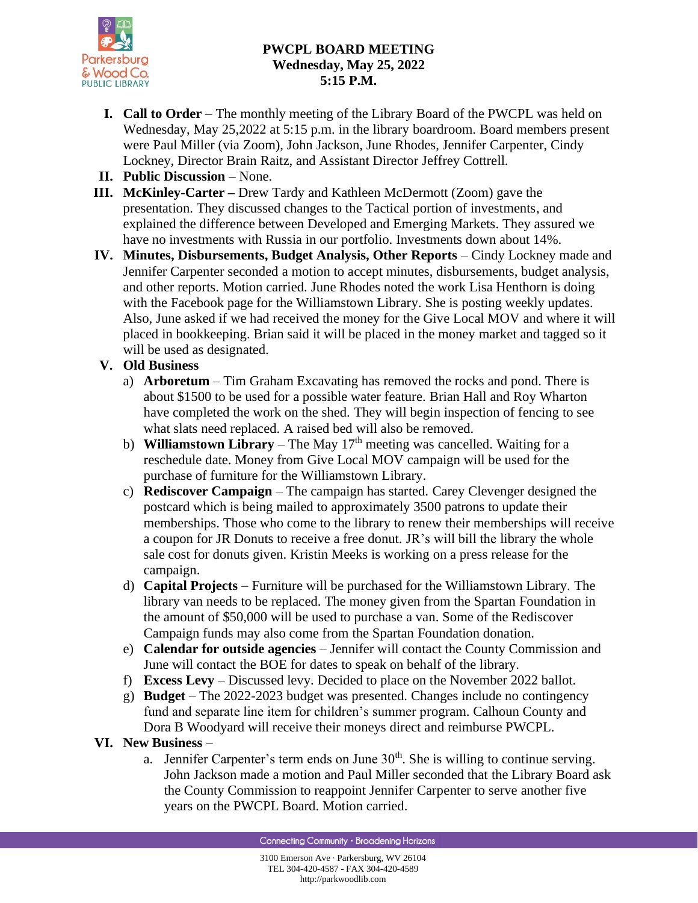

# **PWCPL BOARD MEETING Wednesday, May 25, 2022 5:15 P.M.**

- **I. Call to Order** The monthly meeting of the Library Board of the PWCPL was held on Wednesday, May 25,2022 at 5:15 p.m. in the library boardroom. Board members present were Paul Miller (via Zoom), John Jackson, June Rhodes, Jennifer Carpenter, Cindy Lockney, Director Brain Raitz, and Assistant Director Jeffrey Cottrell.
- **II. Public Discussion** None.
- **III. McKinley**-**Carter –** Drew Tardy and Kathleen McDermott (Zoom) gave the presentation. They discussed changes to the Tactical portion of investments, and explained the difference between Developed and Emerging Markets. They assured we have no investments with Russia in our portfolio. Investments down about 14%.
- **IV. Minutes, Disbursements, Budget Analysis, Other Reports** Cindy Lockney made and Jennifer Carpenter seconded a motion to accept minutes, disbursements, budget analysis, and other reports. Motion carried. June Rhodes noted the work Lisa Henthorn is doing with the Facebook page for the Williamstown Library. She is posting weekly updates. Also, June asked if we had received the money for the Give Local MOV and where it will placed in bookkeeping. Brian said it will be placed in the money market and tagged so it will be used as designated.

### **V. Old Business**

- a) **Arboretum** Tim Graham Excavating has removed the rocks and pond. There is about \$1500 to be used for a possible water feature. Brian Hall and Roy Wharton have completed the work on the shed. They will begin inspection of fencing to see what slats need replaced. A raised bed will also be removed.
- b) **Williamstown Library** The May  $17<sup>th</sup>$  meeting was cancelled. Waiting for a reschedule date. Money from Give Local MOV campaign will be used for the purchase of furniture for the Williamstown Library.
- c) **Rediscover Campaign** The campaign has started. Carey Clevenger designed the postcard which is being mailed to approximately 3500 patrons to update their memberships. Those who come to the library to renew their memberships will receive a coupon for JR Donuts to receive a free donut. JR's will bill the library the whole sale cost for donuts given. Kristin Meeks is working on a press release for the campaign.
- d) **Capital Projects** Furniture will be purchased for the Williamstown Library. The library van needs to be replaced. The money given from the Spartan Foundation in the amount of \$50,000 will be used to purchase a van. Some of the Rediscover Campaign funds may also come from the Spartan Foundation donation.
- e) **Calendar for outside agencies** Jennifer will contact the County Commission and June will contact the BOE for dates to speak on behalf of the library.
- f) **Excess Levy**  Discussed levy. Decided to place on the November 2022 ballot.
- g) **Budget**  The 2022-2023 budget was presented. Changes include no contingency fund and separate line item for children's summer program. Calhoun County and Dora B Woodyard will receive their moneys direct and reimburse PWCPL.

### **VI. New Business** –

a. Jennifer Carpenter's term ends on June  $30<sup>th</sup>$ . She is willing to continue serving. John Jackson made a motion and Paul Miller seconded that the Library Board ask the County Commission to reappoint Jennifer Carpenter to serve another five years on the PWCPL Board. Motion carried.